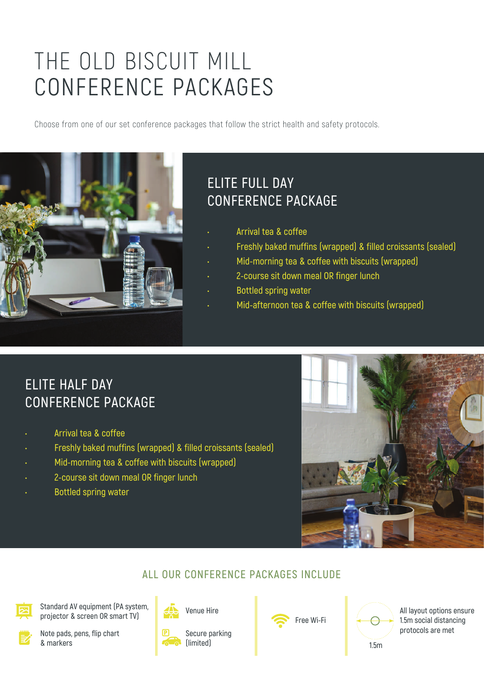# THE OLD BISCUIT MILL CONFERENCE PACKAGES

Choose from one of our set conference packages that follow the strict health and safety protocols.



#### **ELITE FULL DAY CONFERENCE PACKAGE**

- **Arrival tea & coffee**
- **Freshly baked muffins (wrapped) & filled croissants (sealed)**
- **Mid-morning tea & coffee with biscuits (wrapped)**
- **2-course sit down meal OR finger lunch**
- **Bottled spring water**
- **Mid-afternoon tea & coffee with biscuits (wrapped)**

## **ELITE HALF DAY CONFERENCE PACKAGE**

- **Arrival tea & coffee**
- **Freshly baked muffins (wrapped) & filled croissants (sealed)**
- **Mid-morning tea & coffee with biscuits (wrapped)**
- **2-course sit down meal OR finger lunch**
- **Bottled spring water**



#### **ALL OUR CONFERENCE PACKAGES INCLUDE**

**Standard AV equipment (PA system, projector & screen OR smart TV)**



**Note pads, pens, flip chart & markers**



**Secure parking (limited)**





**All layout options ensure 1.5m social distancing protocols are met**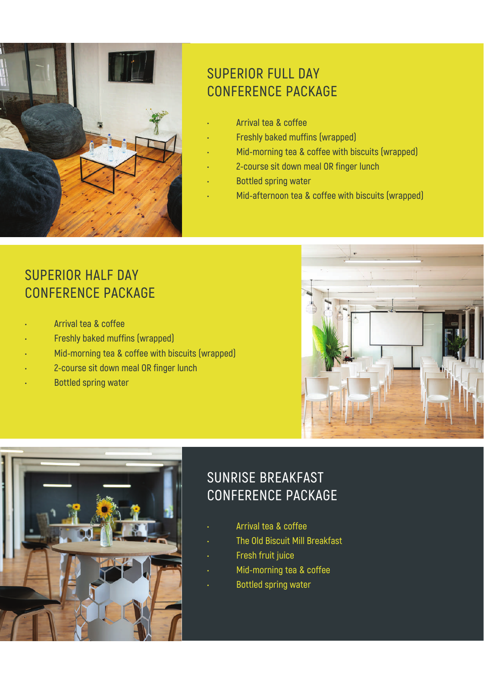

### **SUPERIOR FULL DAY CONFERENCE PACKAGE**

- **Arrival tea & coffee**
- **Freshly baked muffins (wrapped)**
- **Mid-morning tea & coffee with biscuits (wrapped)**
- **2-course sit down meal OR finger lunch**
- **Bottled spring water**
- **Mid-afternoon tea & coffee with biscuits (wrapped)**

#### **SUPERIOR HALF DAY CONFERENCE PACKAGE**

- **Arrival tea & coffee**
- **Freshly baked muffins (wrapped)**
- **Mid-morning tea & coffee with biscuits (wrapped)**
- **2-course sit down meal OR finger lunch**
- **Bottled spring water**





# **SUNRISE BREAKFAST CONFERENCE PACKAGE**

- **Arrival tea & coffee**
- **The Old Biscuit Mill Breakfast**
- **Fresh fruit juice**
- **Mid-morning tea & coffee**
- **Bottled spring water**